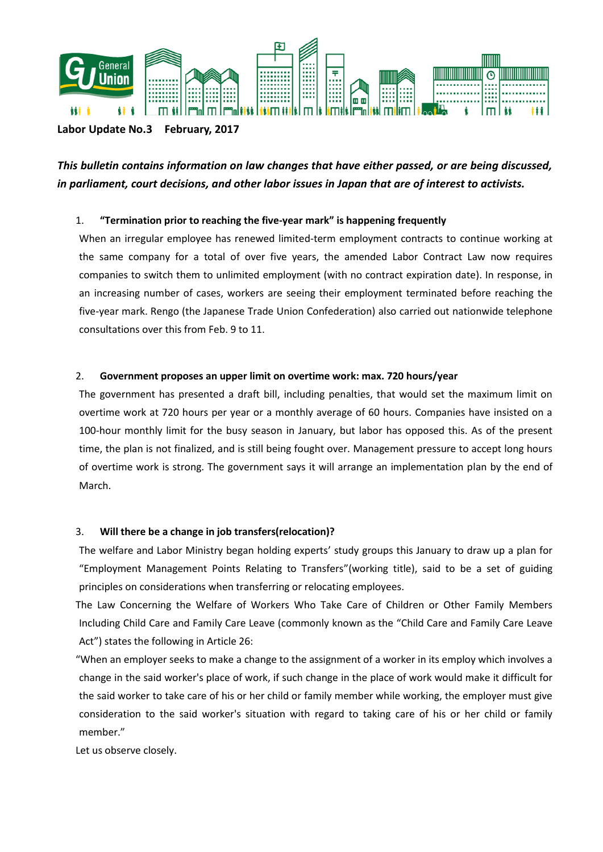

## **Labor Update No.3 February, 2017**

*This bulletin contains information on law changes that have either passed, or are being discussed, in parliament, court decisions, and other labor issues in Japan that are of interest to activists.* 

# 1. **"Termination prior to reaching the five-year mark" is happening frequently**

When an irregular employee has renewed limited-term employment contracts to continue working at the same company for a total of over five years, the amended Labor Contract Law now requires companies to switch them to unlimited employment (with no contract expiration date). In response, in an increasing number of cases, workers are seeing their employment terminated before reaching the five-year mark. Rengo (the Japanese Trade Union Confederation) also carried out nationwide telephone consultations over this from Feb. 9 to 11.

## 2. **Government proposes an upper limit on overtime work: max. 720 hours/year**

The government has presented a draft bill, including penalties, that would set the maximum limit on overtime work at 720 hours per year or a monthly average of 60 hours. Companies have insisted on a 100-hour monthly limit for the busy season in January, but labor has opposed this. As of the present time, the plan is not finalized, and is still being fought over. Management pressure to accept long hours of overtime work is strong. The government says it will arrange an implementation plan by the end of March.

# 3. **Will there be a change in job transfers(relocation)?**

The welfare and Labor Ministry began holding experts' study groups this January to draw up a plan for "Employment Management Points Relating to Transfers"(working title), said to be a set of guiding principles on considerations when transferring or relocating employees.

The Law Concerning the Welfare of Workers Who Take Care of Children or Other Family Members Including Child Care and Family Care Leave (commonly known as the "Child Care and Family Care Leave Act") states the following in Article 26:

"When an employer seeks to make a change to the assignment of a worker in its employ which involves a change in the said worker's place of work, if such change in the place of work would make it difficult for the said worker to take care of his or her child or family member while working, the employer must give consideration to the said worker's situation with regard to taking care of his or her child or family member."

Let us observe closely.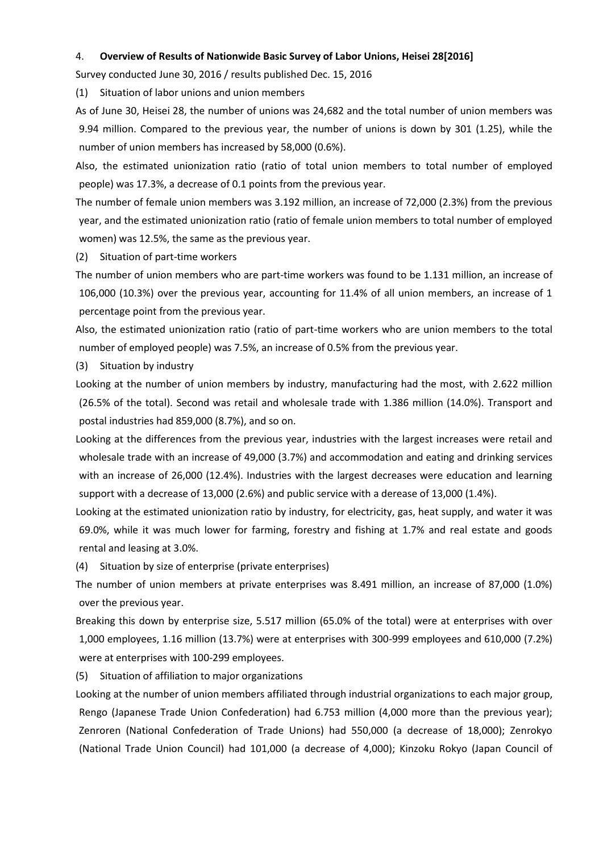#### 4. **Overview of Results of Nationwide Basic Survey of Labor Unions, Heisei 28[2016]**

Survey conducted June 30, 2016 / results published Dec. 15, 2016

(1) Situation of labor unions and union members

As of June 30, Heisei 28, the number of unions was 24,682 and the total number of union members was 9.94 million. Compared to the previous year, the number of unions is down by 301 (1.25), while the number of union members has increased by 58,000 (0.6%).

Also, the estimated unionization ratio (ratio of total union members to total number of employed people) was 17.3%, a decrease of 0.1 points from the previous year.

The number of female union members was 3.192 million, an increase of 72,000 (2.3%) from the previous year, and the estimated unionization ratio (ratio of female union members to total number of employed women) was 12.5%, the same as the previous year.

(2) Situation of part-time workers

The number of union members who are part-time workers was found to be 1.131 million, an increase of 106,000 (10.3%) over the previous year, accounting for 11.4% of all union members, an increase of 1 percentage point from the previous year.

Also, the estimated unionization ratio (ratio of part-time workers who are union members to the total number of employed people) was 7.5%, an increase of 0.5% from the previous year.

(3) Situation by industry

Looking at the number of union members by industry, manufacturing had the most, with 2.622 million (26.5% of the total). Second was retail and wholesale trade with 1.386 million (14.0%). Transport and postal industries had 859,000 (8.7%), and so on.

Looking at the differences from the previous year, industries with the largest increases were retail and wholesale trade with an increase of 49,000 (3.7%) and accommodation and eating and drinking services with an increase of 26,000 (12.4%). Industries with the largest decreases were education and learning support with a decrease of 13,000 (2.6%) and public service with a derease of 13,000 (1.4%).

Looking at the estimated unionization ratio by industry, for electricity, gas, heat supply, and water it was 69.0%, while it was much lower for farming, forestry and fishing at 1.7% and real estate and goods rental and leasing at 3.0%.

(4) Situation by size of enterprise (private enterprises)

The number of union members at private enterprises was 8.491 million, an increase of 87,000 (1.0%) over the previous year.

Breaking this down by enterprise size, 5.517 million (65.0% of the total) were at enterprises with over 1,000 employees, 1.16 million (13.7%) were at enterprises with 300-999 employees and 610,000 (7.2%) were at enterprises with 100-299 employees.

(5) Situation of affiliation to major organizations

Looking at the number of union members affiliated through industrial organizations to each major group, Rengo (Japanese Trade Union Confederation) had 6.753 million (4,000 more than the previous year); Zenroren (National Confederation of Trade Unions) had 550,000 (a decrease of 18,000); Zenrokyo (National Trade Union Council) had 101,000 (a decrease of 4,000); Kinzoku Rokyo (Japan Council of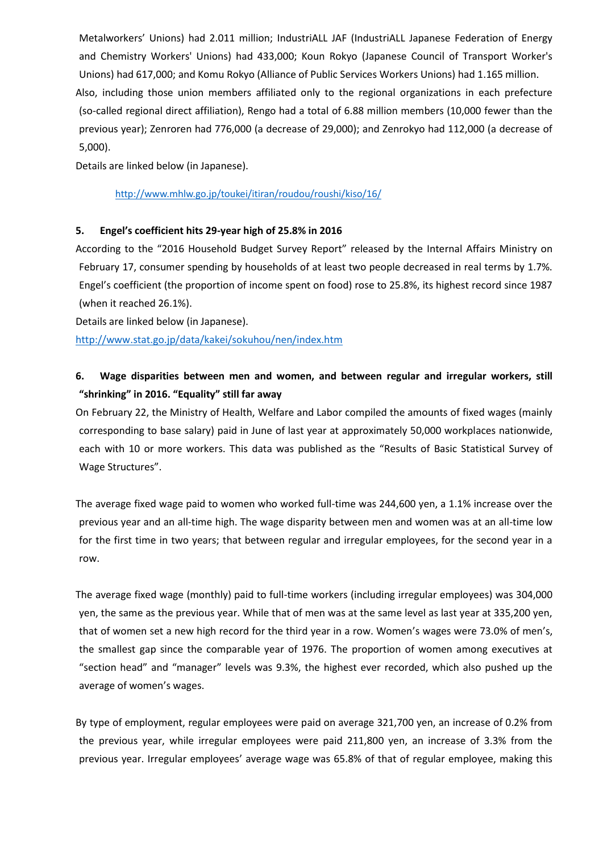Metalworkers' Unions) had 2.011 million; IndustriALL JAF (IndustriALL Japanese Federation of Energy and Chemistry Workers' Unions) had 433,000; Koun Rokyo (Japanese Council of Transport Worker's Unions) had 617,000; and Komu Rokyo (Alliance of Public Services Workers Unions) had 1.165 million. Also, including those union members affiliated only to the regional organizations in each prefecture (so-called regional direct affiliation), Rengo had a total of 6.88 million members (10,000 fewer than the previous year); Zenroren had 776,000 (a decrease of 29,000); and Zenrokyo had 112,000 (a decrease of 5,000).

Details are linked below (in Japanese).

### <http://www.mhlw.go.jp/toukei/itiran/roudou/roushi/kiso/16/>

## **5. Engel's coefficient hits 29-year high of 25.8% in 2016**

According to the "2016 Household Budget Survey Report" released by the Internal Affairs Ministry on February 17, consumer spending by households of at least two people decreased in real terms by 1.7%. Engel's coefficient (the proportion of income spent on food) rose to 25.8%, its highest record since 1987 (when it reached 26.1%).

Details are linked below (in Japanese).

<http://www.stat.go.jp/data/kakei/sokuhou/nen/index.htm>

# **6. Wage disparities between men and women, and between regular and irregular workers, still "shrinking" in 2016. "Equality" still far away**

On February 22, the Ministry of Health, Welfare and Labor compiled the amounts of fixed wages (mainly corresponding to base salary) paid in June of last year at approximately 50,000 workplaces nationwide, each with 10 or more workers. This data was published as the "Results of Basic Statistical Survey of Wage Structures".

The average fixed wage paid to women who worked full-time was 244,600 yen, a 1.1% increase over the previous year and an all-time high. The wage disparity between men and women was at an all-time low for the first time in two years; that between regular and irregular employees, for the second year in a row.

The average fixed wage (monthly) paid to full-time workers (including irregular employees) was 304,000 yen, the same as the previous year. While that of men was at the same level as last year at 335,200 yen, that of women set a new high record for the third year in a row. Women's wages were 73.0% of men's, the smallest gap since the comparable year of 1976. The proportion of women among executives at "section head" and "manager" levels was 9.3%, the highest ever recorded, which also pushed up the average of women's wages.

By type of employment, regular employees were paid on average 321,700 yen, an increase of 0.2% from the previous year, while irregular employees were paid 211,800 yen, an increase of 3.3% from the previous year. Irregular employees' average wage was 65.8% of that of regular employee, making this